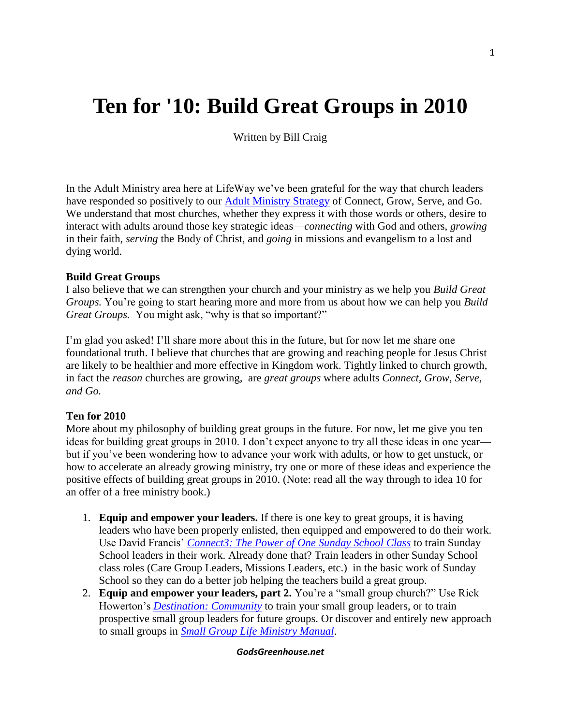# **Ten for '10: Build Great Groups in 2010**

Written by Bill Craig

In the Adult Ministry area here at LifeWay we've been grateful for the way that church leaders have responded so positively to our **Adult Ministry Strategy** of Connect, Grow, Serve, and Go. We understand that most churches, whether they express it with those words or others, desire to interact with adults around those key strategic ideas—*connecting* with God and others, *growing* in their faith, *serving* the Body of Christ, and *going* in missions and evangelism to a lost and dying world.

# **Build Great Groups**

I also believe that we can strengthen your church and your ministry as we help you *Build Great Groups.* You're going to start hearing more and more from us about how we can help you *Build Great Groups.* You might ask, "why is that so important?"

I'm glad you asked! I'll share more about this in the future, but for now let me share one foundational truth. I believe that churches that are growing and reaching people for Jesus Christ are likely to be healthier and more effective in Kingdom work. Tightly linked to church growth, in fact the *reason* churches are growing, are *great groups* where adults *Connect, Grow, Serve, and Go.*

# **Ten for 2010**

More about my philosophy of building great groups in the future. For now, let me give you ten ideas for building great groups in 2010. I don't expect anyone to try all these ideas in one year but if you've been wondering how to advance your work with adults, or how to get unstuck, or how to accelerate an already growing ministry, try one or more of these ideas and experience the positive effects of building great groups in 2010. (Note: read all the way through to idea 10 for an offer of a free ministry book.)

- 1. **Equip and empower your leaders.** If there is one key to great groups, it is having leaders who have been properly enlisted, then equipped and empowered to do their work. Use David Francis' *[Connect3: The Power of One Sunday School Class](http://www.lifeway.com/article/?id=168900&INTCMP=tenin10-20091208-20091208)* to train Sunday School leaders in their work. Already done that? Train leaders in other Sunday School class roles (Care Group Leaders, Missions Leaders, etc.) in the basic work of Sunday School so they can do a better job helping the teachers build a great group.
- 2. **Equip and empower your leaders, part 2.** You're a "small group church?" Use Rick Howerton's *[Destination: Community](http://www.lifeway.com/product/?id=005038477&INTCMP=tenin10-20091208-20091208)* to train your small group leaders, or to train prospective small group leaders for future groups. Or discover and entirely new approach to small groups in *[Small Group Life Ministry Manual](http://www.lifeway.com/product/?id=005252295&INTCMP=tenin10-20091208)*.

### *GodsGreenhouse.net*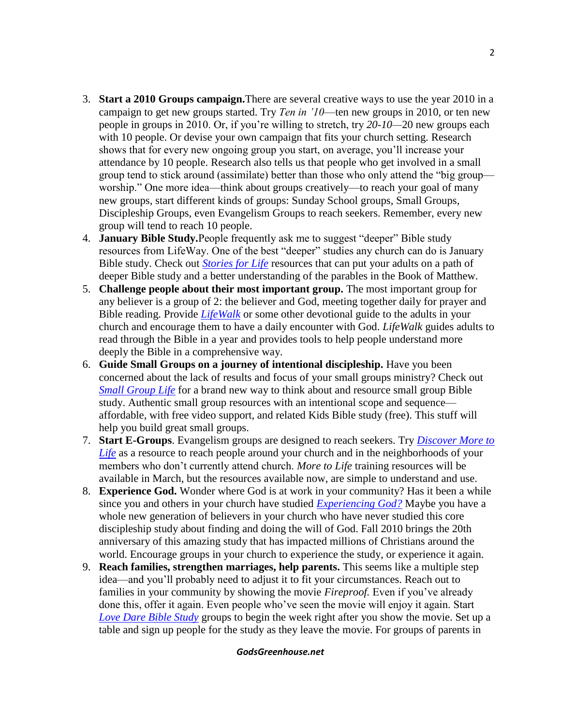- 3. **Start a 2010 Groups campaign.**There are several creative ways to use the year 2010 in a campaign to get new groups started. Try *Ten in '10*—ten new groups in 2010, or ten new people in groups in 2010. Or, if you're willing to stretch, try *20-10—*20 new groups each with 10 people. Or devise your own campaign that fits your church setting. Research shows that for every new ongoing group you start, on average, you'll increase your attendance by 10 people. Research also tells us that people who get involved in a small group tend to stick around (assimilate) better than those who only attend the "big group worship." One more idea—think about groups creatively—to reach your goal of many new groups, start different kinds of groups: Sunday School groups, Small Groups, Discipleship Groups, even Evangelism Groups to reach seekers. Remember, every new group will tend to reach 10 people.
- 4. **January Bible Study.**People frequently ask me to suggest "deeper" Bible study resources from LifeWay. One of the best "deeper" studies any church can do is January Bible study. Check out *[Stories for Life](http://www.lifeway.com/product/?id=005094535&INTCMP=tenin10-20091208)* resources that can put your adults on a path of deeper Bible study and a better understanding of the parables in the Book of Matthew.
- 5. **Challenge people about their most important group.** The most important group for any believer is a group of 2: the believer and God, meeting together daily for prayer and Bible reading. Provide *[LifeWalk](http://www.lifeway.com/menu/?id=201213&INTCMP=tenin10-20091208)* or some other devotional guide to the adults in your church and encourage them to have a daily encounter with God. *LifeWalk* guides adults to read through the Bible in a year and provides tools to help people understand more deeply the Bible in a comprehensive way.
- 6. **Guide Small Groups on a journey of intentional discipleship.** Have you been concerned about the lack of results and focus of your small groups ministry? Check out *[Small Group Life](http://www.lifeway.com/article/?id=168800&INTCMP=tenin10-20091208)* for a brand new way to think about and resource small group Bible study. Authentic small group resources with an intentional scope and sequence affordable, with free video support, and related Kids Bible study (free). This stuff will help you build great small groups.
- 7. **Start E-Groups**. Evangelism groups are designed to reach seekers. Try *[Discover More to](http://www.lifeway.com/product/?id=005244945&INTCMP=tenin10-20091208)  [Life](http://www.lifeway.com/product/?id=005244945&INTCMP=tenin10-20091208)* as a resource to reach people around your church and in the neighborhoods of your members who don't currently attend church. *More to Life* training resources will be available in March, but the resources available now, are simple to understand and use.
- 8. **Experience God.** Wonder where God is at work in your community? Has it been a while since you and others in your church have studied *[Experiencing God?](http://www.lifeway.com/product/?id=005096105&INTCMP=tenin10-20091208)* Maybe you have a whole new generation of believers in your church who have never studied this core discipleship study about finding and doing the will of God. Fall 2010 brings the 20th anniversary of this amazing study that has impacted millions of Christians around the world. Encourage groups in your church to experience the study, or experience it again.
- 9. **Reach families, strengthen marriages, help parents.** This seems like a multiple step idea—and you'll probably need to adjust it to fit your circumstances. Reach out to families in your community by showing the movie *Fireproof.* Even if you've already done this, offer it again. Even people who've seen the movie will enjoy it again. Start *[Love Dare Bible Study](http://www.lifeway.com/product/?id=005179026&INTCMP=tenin10-20091208)* groups to begin the week right after you show the movie. Set up a table and sign up people for the study as they leave the movie. For groups of parents in

### *GodsGreenhouse.net*